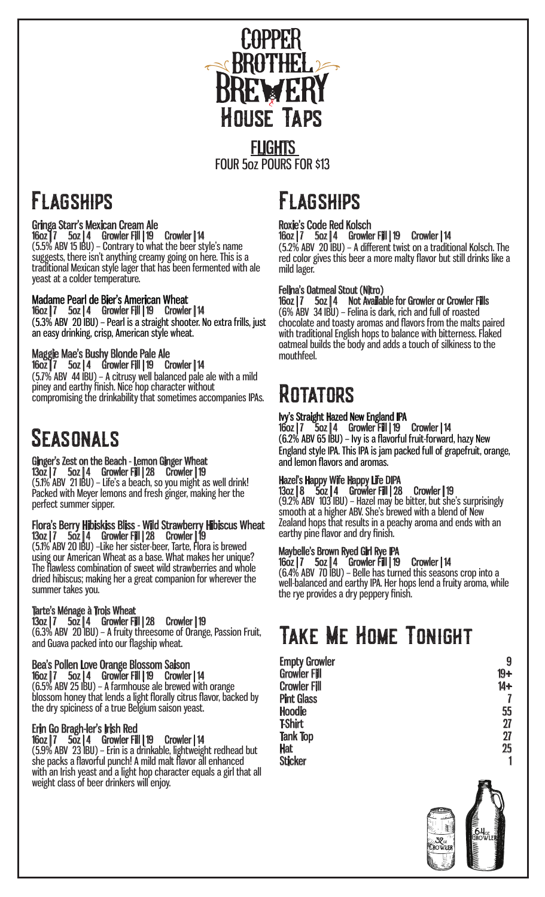

## **FLAGSHIPS**

Gringa Starr's Mexican Cream Ale 16oz | 7 5oz | 4 Growler Fill | 19 Crowler | 14 (5.5% ABV 15 IBU) – Contrary to what the beer style's name suggests, there isn't anything creamy going on here. This is a traditional Mexican style lager that has been fermented with ale yeast at a colder temperature.

### Madame Pearl de Bier's American Wheat

16oz | 7 5oz | 4 Growler Fill | 19 Crowler | 14 (5.3% ABV 20 IBU) – Pearl is a straight shooter. No extra frills, just an easy drinking, crisp, American style wheat.

### Maggie Mae's Bushy Blonde Pale Ale

16oz | 7 5oz | 4 Growler Fill | 19 Crowler | 14 (5.7% ABV 44 IBU) – A citrusy well balanced pale ale with a mild piney and earthy finish. Nice hop character without compromising the drinkability that sometimes accompanies IPAs.

### **SEASONALS**

#### Ginger's Zest on the Beach - Lemon Ginger Wheat 13oz | 7 5oz | 4 Growler Fill | 28 Crowler | 19

(5.1% ABV 21 IBU) – Life's a beach, so you might as well drink! Packed with Meyer lemons and fresh ginger, making her the perfect summer sipper.

#### Flora's Berry Hibiskiss Bliss - Wild Strawberry Hibiscus Wheat 13oz | 7 5oz | 4 Growler Fill | 28 Crowler | 19

(5.1% ABV 20 IBU) –Like her sister-beer, Tarte, Flora is brewed using our American Wheat as a base. What makes her unique? The flawless combination of sweet wild strawberries and whole dried hibiscus; making her a great companion for wherever the summer takes you.

#### Tarte's Ménage à Trois Wheat

13oz | 7 5oz | 4 Growler Fill | 28 Crowler | 19 (6.3% ABV 20 IBU) – A fruity threesome of Orange, Passion Fruit, and Guava packed into our flagship wheat.

#### Bea's Pollen Love Orange Blossom Saison 16oz | 7 5oz | 4 Growler Fill | 19 Crowler | 14 (6.5% ABV 25 IBU) – A farmhouse ale brewed with orange

blossom honey that lends a light florally citrus flavor, backed by the dry spiciness of a true Belgium saison yeast.

### Erin Go Bragh-ler's Irish Red

16oz | 7 5oz | 4 Growler Fill | 19 Crowler | 14 (5.9% ABV 23 IBU) – Erin is a drinkable, lightweight redhead but she packs a flavorful punch! A mild malt flavor all enhanced with an Irish yeast and a light hop character equals a girl that all weight class of beer drinkers will enjoy.

# **FLAGSHIPS**

#### Roxie's Code Red Kolsch 16oz | 7 5oz | 4 Growler Fill | 19 Crowler | 14

(5.2% ABV 20 IBU) – A different twist on a traditional Kolsch. The red color gives this beer a more malty flavor but still drinks like a mild lager.

#### Felina's Oatmeal Stout (Nitro)

16oz | 7 5oz | 4 Not Available for Growler or Crowler Fills (6% ABV 34 IBU) – Felina is dark, rich and full of roasted chocolate and toasty aromas and flavors from the malts paired with traditional English hops to balance with bitterness. Flaked oatmeal builds the body and adds a touch of silkiness to the mouthfeel.

### **ROTATORS**

#### Ivy's Straight Hazed New England IPA

16oz | 7 5oz | 4 Growler Fill | 19 Crowler | 14 (6.2% ABV 65 IBU) – Ivy is a flavorful fruit-forward, hazy New England style IPA. This IPA is jam packed full of grapefruit, orange, and lemon flavors and aromas.

### Hazel's Happy Wife Happy Life DIPA

13oz | 8 5oz | 4 Growler Fill | 28 Crowler | 19 (9.2% ABV 103 IBU) – Hazel may be bitter, but she's surprisingly smooth at a higher ABV. She's brewed with a blend of New Zealand hops that results in a peachy aroma and ends with an earthy pine flavor and dry finish.

#### Maybelle's Brown Ryed Girl Rye IPA

16oz | 7 5oz | 4 Growler Fill | 19 Crowler | 14 (6.4% ABV 70 IBU) – Belle has turned this seasons crop into a well-balanced and earthy IPA. Her hops lend a fruity aroma, while the rye provides a dry peppery finish.

### Take Me Home Tonight

Empty Growler 9 Growler Fill the control of the control of the control of the control of the control of the control of the control of the control of the control of the control of the control of the control of the control of the control of Crowler Fill 14+<br>Pint Glass 7 Pint Glass 7<br>
Hoodie 55<br>
T-Shirt 27<br>
Tank Top 27 Hoodie 55 T-Shirt 27 Tank Top 27 Hat 25 Sticker 1 and 1 and 1 and 1 and 1 and 1 and 1 and 1 and 1 and 1 and 1 and 1 and 1 and 1 and 1 and 1